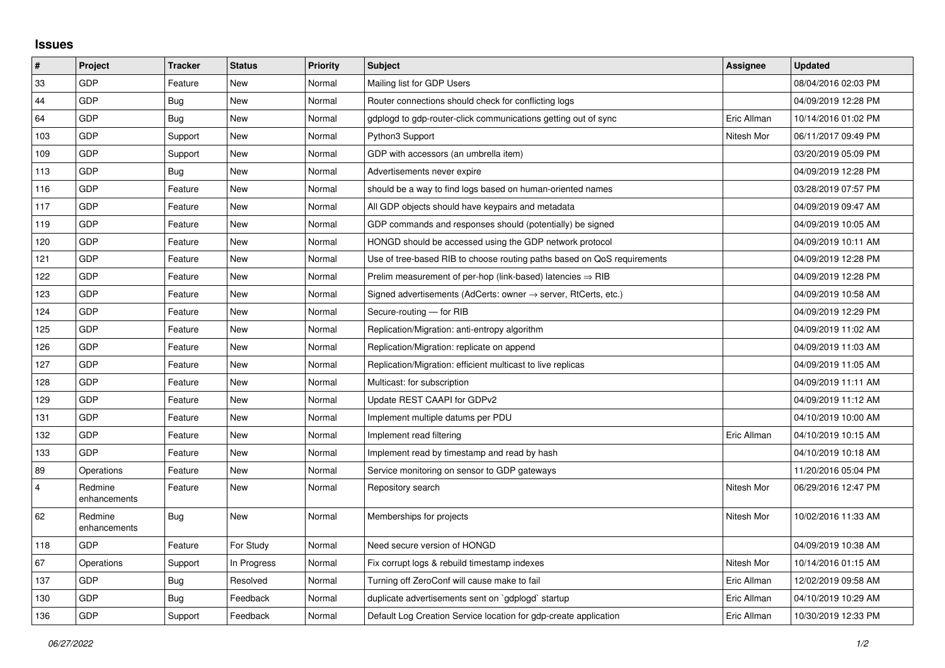## **Issues**

| $\vert$ #      | Project                 | <b>Tracker</b> | <b>Status</b> | <b>Priority</b> | <b>Subject</b>                                                          | Assignee    | <b>Updated</b>      |
|----------------|-------------------------|----------------|---------------|-----------------|-------------------------------------------------------------------------|-------------|---------------------|
| 33             | <b>GDP</b>              | Feature        | <b>New</b>    | Normal          | Mailing list for GDP Users                                              |             | 08/04/2016 02:03 PM |
| 44             | <b>GDP</b>              | <b>Bug</b>     | <b>New</b>    | Normal          | Router connections should check for conflicting logs                    |             | 04/09/2019 12:28 PM |
| 64             | GDP                     | Bug            | <b>New</b>    | Normal          | gdplogd to gdp-router-click communications getting out of sync          | Eric Allman | 10/14/2016 01:02 PM |
| 103            | <b>GDP</b>              | Support        | <b>New</b>    | Normal          | Python3 Support                                                         | Nitesh Mor  | 06/11/2017 09:49 PM |
| 109            | <b>GDP</b>              | Support        | <b>New</b>    | Normal          | GDP with accessors (an umbrella item)                                   |             | 03/20/2019 05:09 PM |
| 113            | GDP                     | Bug            | <b>New</b>    | Normal          | Advertisements never expire                                             |             | 04/09/2019 12:28 PM |
| 116            | <b>GDP</b>              | Feature        | <b>New</b>    | Normal          | should be a way to find logs based on human-oriented names              |             | 03/28/2019 07:57 PM |
| 117            | <b>GDP</b>              | Feature        | <b>New</b>    | Normal          | All GDP objects should have keypairs and metadata                       |             | 04/09/2019 09:47 AM |
| 119            | GDP                     | Feature        | <b>New</b>    | Normal          | GDP commands and responses should (potentially) be signed               |             | 04/09/2019 10:05 AM |
| 120            | <b>GDP</b>              | Feature        | <b>New</b>    | Normal          | HONGD should be accessed using the GDP network protocol                 |             | 04/09/2019 10:11 AM |
| 121            | <b>GDP</b>              | Feature        | New           | Normal          | Use of tree-based RIB to choose routing paths based on QoS requirements |             | 04/09/2019 12:28 PM |
| 122            | GDP                     | Feature        | <b>New</b>    | Normal          | Prelim measurement of per-hop (link-based) latencies $\Rightarrow$ RIB  |             | 04/09/2019 12:28 PM |
| 123            | <b>GDP</b>              | Feature        | <b>New</b>    | Normal          | Signed advertisements (AdCerts: owner → server, RtCerts, etc.)          |             | 04/09/2019 10:58 AM |
| 124            | GDP                     | Feature        | <b>New</b>    | Normal          | Secure-routing - for RIB                                                |             | 04/09/2019 12:29 PM |
| 125            | GDP                     | Feature        | New           | Normal          | Replication/Migration: anti-entropy algorithm                           |             | 04/09/2019 11:02 AM |
| 126            | <b>GDP</b>              | Feature        | <b>New</b>    | Normal          | Replication/Migration: replicate on append                              |             | 04/09/2019 11:03 AM |
| 127            | <b>GDP</b>              | Feature        | <b>New</b>    | Normal          | Replication/Migration: efficient multicast to live replicas             |             | 04/09/2019 11:05 AM |
| 128            | GDP                     | Feature        | <b>New</b>    | Normal          | Multicast: for subscription                                             |             | 04/09/2019 11:11 AM |
| 129            | <b>GDP</b>              | Feature        | <b>New</b>    | Normal          | Update REST CAAPI for GDPv2                                             |             | 04/09/2019 11:12 AM |
| 131            | <b>GDP</b>              | Feature        | <b>New</b>    | Normal          | Implement multiple datums per PDU                                       |             | 04/10/2019 10:00 AM |
| 132            | GDP                     | Feature        | <b>New</b>    | Normal          | Implement read filtering                                                | Eric Allman | 04/10/2019 10:15 AM |
| 133            | <b>GDP</b>              | Feature        | <b>New</b>    | Normal          | Implement read by timestamp and read by hash                            |             | 04/10/2019 10:18 AM |
| 89             | Operations              | Feature        | <b>New</b>    | Normal          | Service monitoring on sensor to GDP gateways                            |             | 11/20/2016 05:04 PM |
| $\overline{4}$ | Redmine<br>enhancements | Feature        | <b>New</b>    | Normal          | Repository search                                                       | Nitesh Mor  | 06/29/2016 12:47 PM |
| 62             | Redmine<br>enhancements | Bug            | <b>New</b>    | Normal          | Memberships for projects                                                | Nitesh Mor  | 10/02/2016 11:33 AM |
| 118            | <b>GDP</b>              | Feature        | For Study     | Normal          | Need secure version of HONGD                                            |             | 04/09/2019 10:38 AM |
| 67             | Operations              | Support        | In Progress   | Normal          | Fix corrupt logs & rebuild timestamp indexes                            | Nitesh Mor  | 10/14/2016 01:15 AM |
| 137            | <b>GDP</b>              | <b>Bug</b>     | Resolved      | Normal          | Turning off ZeroConf will cause make to fail                            | Eric Allman | 12/02/2019 09:58 AM |
| 130            | <b>GDP</b>              | <b>Bug</b>     | Feedback      | Normal          | duplicate advertisements sent on `gdplogd` startup                      | Eric Allman | 04/10/2019 10:29 AM |
| 136            | GDP                     | Support        | Feedback      | Normal          | Default Log Creation Service location for gdp-create application        | Eric Allman | 10/30/2019 12:33 PM |